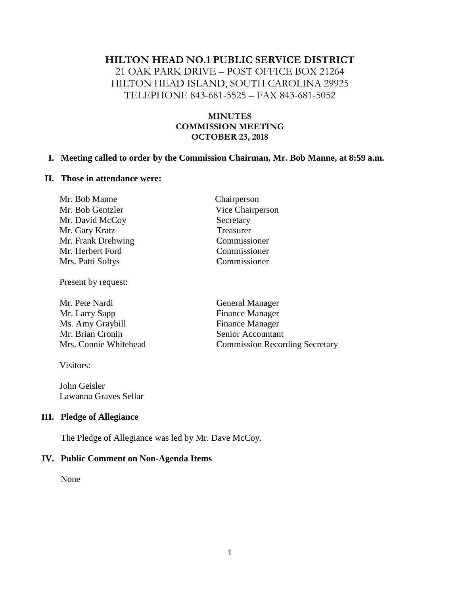#### **HILTON HEAD NO.1 PUBLIC SERVICE DISTRICT**

21 OAK PARK DRIVE – POST OFFICE BOX 21264 HILTON HEAD ISLAND, SOUTH CAROLINA 29925 TELEPHONE 843-681-5525 – FAX 843-681-5052

## **MINUTES COMMISSION MEETING OCTOBER 23, 2018**

#### **I. Meeting called to order by the Commission Chairman, Mr. Bob Manne, at 8:59 a.m.**

#### **II. Those in attendance were:**

| Mr. Bob Manne      | Chairperson      |
|--------------------|------------------|
| Mr. Bob Gentzler   | Vice Chairperson |
| Mr. David McCoy    | Secretary        |
| Mr. Gary Kratz     | Treasurer        |
| Mr. Frank Drehwing | Commissioner     |
| Mr. Herbert Ford   | Commissioner     |
| Mrs. Patti Soltys  | Commissioner     |
|                    |                  |

Present by request:

| Mr. Pete Nardi        |
|-----------------------|
| Mr. Larry Sapp        |
| Ms. Amy Graybill      |
| Mr. Brian Cronin      |
| Mrs. Connie Whitehead |

General Manager Finance Manager Finance Manager Senior Accountant Commission Recording Secretary

Visitors:

John Geisler Lawanna Graves Sellar

#### **III. Pledge of Allegiance**

The Pledge of Allegiance was led by Mr. Dave McCoy.

#### **IV. Public Comment on Non-Agenda Items**

None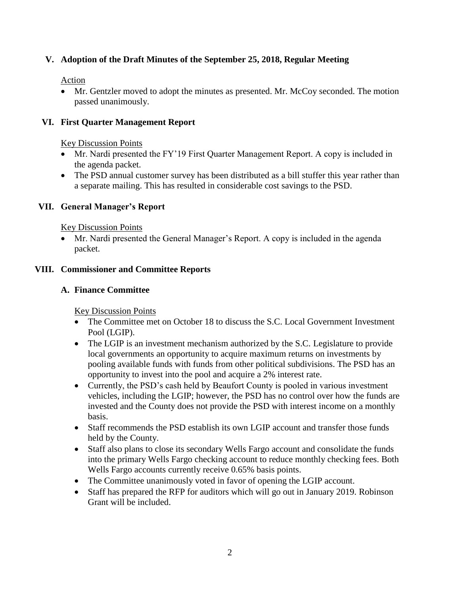# **V. Adoption of the Draft Minutes of the September 25, 2018, Regular Meeting**

Action

• Mr. Gentzler moved to adopt the minutes as presented. Mr. McCoy seconded. The motion passed unanimously.

## **VI. First Quarter Management Report**

Key Discussion Points

- Mr. Nardi presented the FY'19 First Quarter Management Report. A copy is included in the agenda packet.
- The PSD annual customer survey has been distributed as a bill stuffer this year rather than a separate mailing. This has resulted in considerable cost savings to the PSD.

### **VII. General Manager's Report**

Key Discussion Points

• Mr. Nardi presented the General Manager's Report. A copy is included in the agenda packet.

#### **VIII. Commissioner and Committee Reports**

### **A. Finance Committee**

Key Discussion Points

- The Committee met on October 18 to discuss the S.C. Local Government Investment Pool (LGIP).
- The LGIP is an investment mechanism authorized by the S.C. Legislature to provide local governments an opportunity to acquire maximum returns on investments by pooling available funds with funds from other political subdivisions. The PSD has an opportunity to invest into the pool and acquire a 2% interest rate.
- Currently, the PSD's cash held by Beaufort County is pooled in various investment vehicles, including the LGIP; however, the PSD has no control over how the funds are invested and the County does not provide the PSD with interest income on a monthly basis.
- Staff recommends the PSD establish its own LGIP account and transfer those funds held by the County.
- Staff also plans to close its secondary Wells Fargo account and consolidate the funds into the primary Wells Fargo checking account to reduce monthly checking fees. Both Wells Fargo accounts currently receive 0.65% basis points.
- The Committee unanimously voted in favor of opening the LGIP account.
- Staff has prepared the RFP for auditors which will go out in January 2019. Robinson Grant will be included.